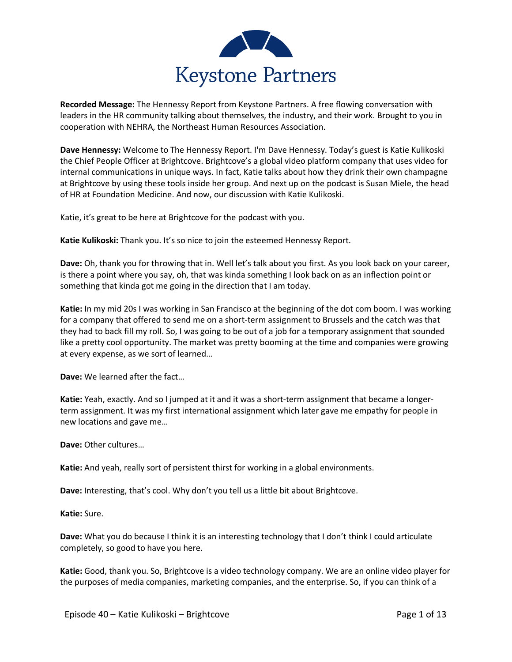

**Recorded Message:** The Hennessy Report from Keystone Partners. A free flowing conversation with leaders in the HR community talking about themselves, the industry, and their work. Brought to you in cooperation with NEHRA, the Northeast Human Resources Association.

**Dave Hennessy:** Welcome to The Hennessy Report. I'm Dave Hennessy. Today's guest is Katie Kulikoski the Chief People Officer at Brightcove. Brightcove's a global video platform company that uses video for internal communications in unique ways. In fact, Katie talks about how they drink their own champagne at Brightcove by using these tools inside her group. And next up on the podcast is Susan Miele, the head of HR at Foundation Medicine. And now, our discussion with Katie Kulikoski.

Katie, it's great to be here at Brightcove for the podcast with you.

**Katie Kulikoski:** Thank you. It's so nice to join the esteemed Hennessy Report.

**Dave:** Oh, thank you for throwing that in. Well let's talk about you first. As you look back on your career, is there a point where you say, oh, that was kinda something I look back on as an inflection point or something that kinda got me going in the direction that I am today.

**Katie:** In my mid 20s I was working in San Francisco at the beginning of the dot com boom. I was working for a company that offered to send me on a short-term assignment to Brussels and the catch was that they had to back fill my roll. So, I was going to be out of a job for a temporary assignment that sounded like a pretty cool opportunity. The market was pretty booming at the time and companies were growing at every expense, as we sort of learned…

**Dave:** We learned after the fact…

**Katie:** Yeah, exactly. And so I jumped at it and it was a short-term assignment that became a longerterm assignment. It was my first international assignment which later gave me empathy for people in new locations and gave me…

**Dave:** Other cultures…

**Katie:** And yeah, really sort of persistent thirst for working in a global environments.

**Dave:** Interesting, that's cool. Why don't you tell us a little bit about Brightcove.

**Katie:** Sure.

**Dave:** What you do because I think it is an interesting technology that I don't think I could articulate completely, so good to have you here.

**Katie:** Good, thank you. So, Brightcove is a video technology company. We are an online video player for the purposes of media companies, marketing companies, and the enterprise. So, if you can think of a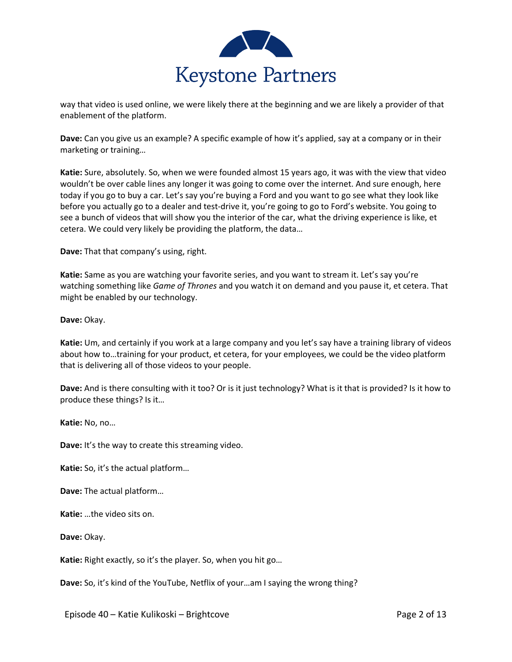

way that video is used online, we were likely there at the beginning and we are likely a provider of that enablement of the platform.

**Dave:** Can you give us an example? A specific example of how it's applied, say at a company or in their marketing or training…

**Katie:** Sure, absolutely. So, when we were founded almost 15 years ago, it was with the view that video wouldn't be over cable lines any longer it was going to come over the internet. And sure enough, here today if you go to buy a car. Let's say you're buying a Ford and you want to go see what they look like before you actually go to a dealer and test-drive it, you're going to go to Ford's website. You going to see a bunch of videos that will show you the interior of the car, what the driving experience is like, et cetera. We could very likely be providing the platform, the data…

**Dave:** That that company's using, right.

**Katie:** Same as you are watching your favorite series, and you want to stream it. Let's say you're watching something like *Game of Thrones* and you watch it on demand and you pause it, et cetera. That might be enabled by our technology.

**Dave:** Okay.

**Katie:** Um, and certainly if you work at a large company and you let's say have a training library of videos about how to…training for your product, et cetera, for your employees, we could be the video platform that is delivering all of those videos to your people.

**Dave:** And is there consulting with it too? Or is it just technology? What is it that is provided? Is it how to produce these things? Is it…

**Katie:** No, no…

**Dave:** It's the way to create this streaming video.

**Katie:** So, it's the actual platform…

**Dave:** The actual platform…

**Katie:** …the video sits on.

**Dave:** Okay.

**Katie:** Right exactly, so it's the player. So, when you hit go…

**Dave:** So, it's kind of the YouTube, Netflix of your…am I saying the wrong thing?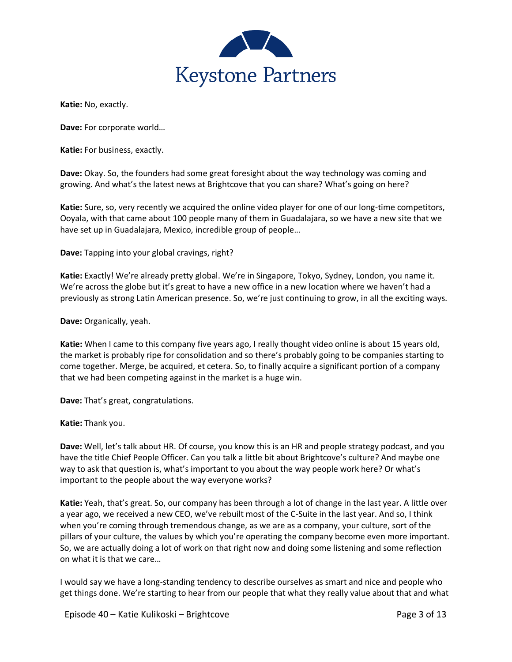

**Katie:** No, exactly.

**Dave:** For corporate world…

**Katie:** For business, exactly.

**Dave:** Okay. So, the founders had some great foresight about the way technology was coming and growing. And what's the latest news at Brightcove that you can share? What's going on here?

**Katie:** Sure, so, very recently we acquired the online video player for one of our long-time competitors, Ooyala, with that came about 100 people many of them in Guadalajara, so we have a new site that we have set up in Guadalajara, Mexico, incredible group of people…

**Dave:** Tapping into your global cravings, right?

**Katie:** Exactly! We're already pretty global. We're in Singapore, Tokyo, Sydney, London, you name it. We're across the globe but it's great to have a new office in a new location where we haven't had a previously as strong Latin American presence. So, we're just continuing to grow, in all the exciting ways.

**Dave:** Organically, yeah.

**Katie:** When I came to this company five years ago, I really thought video online is about 15 years old, the market is probably ripe for consolidation and so there's probably going to be companies starting to come together. Merge, be acquired, et cetera. So, to finally acquire a significant portion of a company that we had been competing against in the market is a huge win.

**Dave:** That's great, congratulations.

**Katie:** Thank you.

**Dave:** Well, let's talk about HR. Of course, you know this is an HR and people strategy podcast, and you have the title Chief People Officer. Can you talk a little bit about Brightcove's culture? And maybe one way to ask that question is, what's important to you about the way people work here? Or what's important to the people about the way everyone works?

**Katie:** Yeah, that's great. So, our company has been through a lot of change in the last year. A little over a year ago, we received a new CEO, we've rebuilt most of the C-Suite in the last year. And so, I think when you're coming through tremendous change, as we are as a company, your culture, sort of the pillars of your culture, the values by which you're operating the company become even more important. So, we are actually doing a lot of work on that right now and doing some listening and some reflection on what it is that we care…

I would say we have a long-standing tendency to describe ourselves as smart and nice and people who get things done. We're starting to hear from our people that what they really value about that and what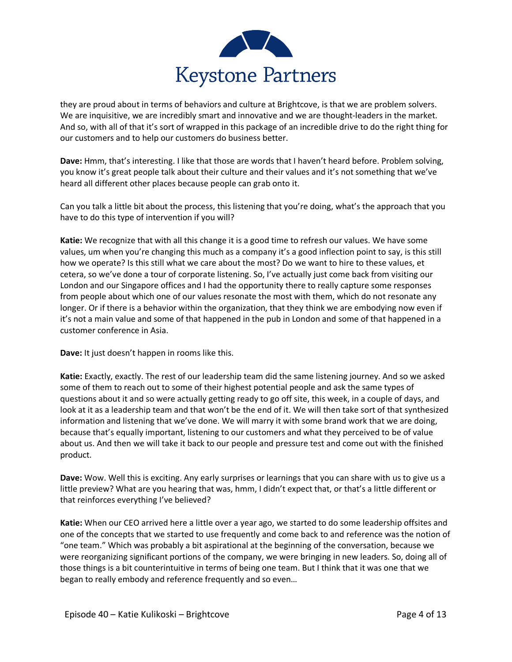

they are proud about in terms of behaviors and culture at Brightcove, is that we are problem solvers. We are inquisitive, we are incredibly smart and innovative and we are thought-leaders in the market. And so, with all of that it's sort of wrapped in this package of an incredible drive to do the right thing for our customers and to help our customers do business better.

**Dave:** Hmm, that's interesting. I like that those are words that I haven't heard before. Problem solving, you know it's great people talk about their culture and their values and it's not something that we've heard all different other places because people can grab onto it.

Can you talk a little bit about the process, this listening that you're doing, what's the approach that you have to do this type of intervention if you will?

**Katie:** We recognize that with all this change it is a good time to refresh our values. We have some values, um when you're changing this much as a company it's a good inflection point to say, is this still how we operate? Is this still what we care about the most? Do we want to hire to these values, et cetera, so we've done a tour of corporate listening. So, I've actually just come back from visiting our London and our Singapore offices and I had the opportunity there to really capture some responses from people about which one of our values resonate the most with them, which do not resonate any longer. Or if there is a behavior within the organization, that they think we are embodying now even if it's not a main value and some of that happened in the pub in London and some of that happened in a customer conference in Asia.

**Dave:** It just doesn't happen in rooms like this.

**Katie:** Exactly, exactly. The rest of our leadership team did the same listening journey. And so we asked some of them to reach out to some of their highest potential people and ask the same types of questions about it and so were actually getting ready to go off site, this week, in a couple of days, and look at it as a leadership team and that won't be the end of it. We will then take sort of that synthesized information and listening that we've done. We will marry it with some brand work that we are doing, because that's equally important, listening to our customers and what they perceived to be of value about us. And then we will take it back to our people and pressure test and come out with the finished product.

**Dave:** Wow. Well this is exciting. Any early surprises or learnings that you can share with us to give us a little preview? What are you hearing that was, hmm, I didn't expect that, or that's a little different or that reinforces everything I've believed?

**Katie:** When our CEO arrived here a little over a year ago, we started to do some leadership offsites and one of the concepts that we started to use frequently and come back to and reference was the notion of "one team." Which was probably a bit aspirational at the beginning of the conversation, because we were reorganizing significant portions of the company, we were bringing in new leaders. So, doing all of those things is a bit counterintuitive in terms of being one team. But I think that it was one that we began to really embody and reference frequently and so even…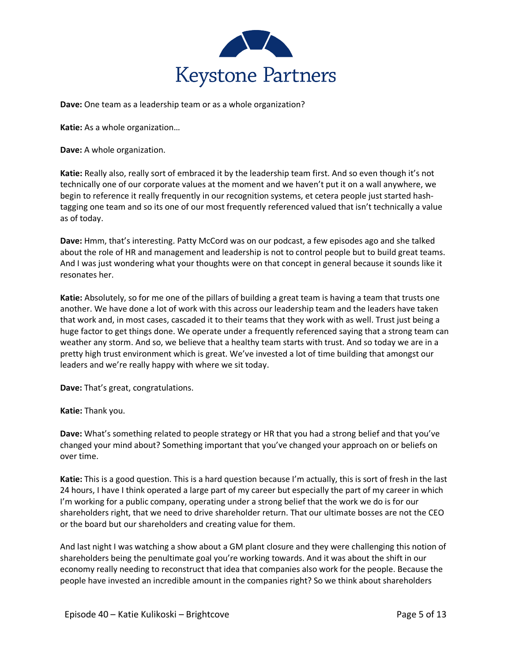

**Dave:** One team as a leadership team or as a whole organization?

**Katie:** As a whole organization…

**Dave:** A whole organization.

**Katie:** Really also, really sort of embraced it by the leadership team first. And so even though it's not technically one of our corporate values at the moment and we haven't put it on a wall anywhere, we begin to reference it really frequently in our recognition systems, et cetera people just started hashtagging one team and so its one of our most frequently referenced valued that isn't technically a value as of today.

**Dave:** Hmm, that's interesting. Patty McCord was on our podcast, a few episodes ago and she talked about the role of HR and management and leadership is not to control people but to build great teams. And I was just wondering what your thoughts were on that concept in general because it sounds like it resonates her.

**Katie:** Absolutely, so for me one of the pillars of building a great team is having a team that trusts one another. We have done a lot of work with this across our leadership team and the leaders have taken that work and, in most cases, cascaded it to their teams that they work with as well. Trust just being a huge factor to get things done. We operate under a frequently referenced saying that a strong team can weather any storm. And so, we believe that a healthy team starts with trust. And so today we are in a pretty high trust environment which is great. We've invested a lot of time building that amongst our leaders and we're really happy with where we sit today.

**Dave:** That's great, congratulations.

## **Katie:** Thank you.

**Dave:** What's something related to people strategy or HR that you had a strong belief and that you've changed your mind about? Something important that you've changed your approach on or beliefs on over time.

**Katie:** This is a good question. This is a hard question because I'm actually, this is sort of fresh in the last 24 hours, I have I think operated a large part of my career but especially the part of my career in which I'm working for a public company, operating under a strong belief that the work we do is for our shareholders right, that we need to drive shareholder return. That our ultimate bosses are not the CEO or the board but our shareholders and creating value for them.

And last night I was watching a show about a GM plant closure and they were challenging this notion of shareholders being the penultimate goal you're working towards. And it was about the shift in our economy really needing to reconstruct that idea that companies also work for the people. Because the people have invested an incredible amount in the companies right? So we think about shareholders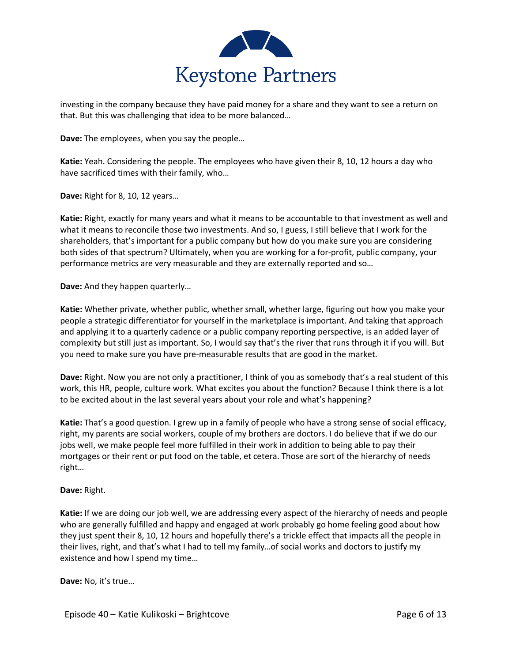

investing in the company because they have paid money for a share and they want to see a return on that. But this was challenging that idea to be more balanced…

**Dave:** The employees, when you say the people…

**Katie:** Yeah. Considering the people. The employees who have given their 8, 10, 12 hours a day who have sacrificed times with their family, who…

**Dave:** Right for 8, 10, 12 years…

**Katie:** Right, exactly for many years and what it means to be accountable to that investment as well and what it means to reconcile those two investments. And so, I guess, I still believe that I work for the shareholders, that's important for a public company but how do you make sure you are considering both sides of that spectrum? Ultimately, when you are working for a for-profit, public company, your performance metrics are very measurable and they are externally reported and so…

**Dave:** And they happen quarterly…

**Katie:** Whether private, whether public, whether small, whether large, figuring out how you make your people a strategic differentiator for yourself in the marketplace is important. And taking that approach and applying it to a quarterly cadence or a public company reporting perspective, is an added layer of complexity but still just as important. So, I would say that's the river that runs through it if you will. But you need to make sure you have pre-measurable results that are good in the market.

**Dave:** Right. Now you are not only a practitioner, I think of you as somebody that's a real student of this work, this HR, people, culture work. What excites you about the function? Because I think there is a lot to be excited about in the last several years about your role and what's happening?

**Katie:** That's a good question. I grew up in a family of people who have a strong sense of social efficacy, right, my parents are social workers, couple of my brothers are doctors. I do believe that if we do our jobs well, we make people feel more fulfilled in their work in addition to being able to pay their mortgages or their rent or put food on the table, et cetera. Those are sort of the hierarchy of needs right…

## **Dave:** Right.

**Katie:** If we are doing our job well, we are addressing every aspect of the hierarchy of needs and people who are generally fulfilled and happy and engaged at work probably go home feeling good about how they just spent their 8, 10, 12 hours and hopefully there's a trickle effect that impacts all the people in their lives, right, and that's what I had to tell my family…of social works and doctors to justify my existence and how I spend my time…

**Dave:** No, it's true…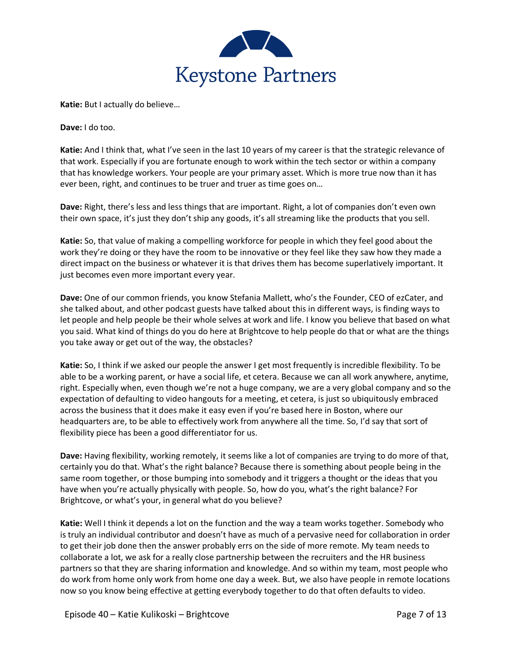

**Katie:** But I actually do believe…

**Dave:** I do too.

**Katie:** And I think that, what I've seen in the last 10 years of my career is that the strategic relevance of that work. Especially if you are fortunate enough to work within the tech sector or within a company that has knowledge workers. Your people are your primary asset. Which is more true now than it has ever been, right, and continues to be truer and truer as time goes on…

**Dave:** Right, there's less and less things that are important. Right, a lot of companies don't even own their own space, it's just they don't ship any goods, it's all streaming like the products that you sell.

**Katie:** So, that value of making a compelling workforce for people in which they feel good about the work they're doing or they have the room to be innovative or they feel like they saw how they made a direct impact on the business or whatever it is that drives them has become superlatively important. It just becomes even more important every year.

**Dave:** One of our common friends, you know Stefania Mallett, who's the Founder, CEO of ezCater, and she talked about, and other podcast guests have talked about this in different ways, is finding ways to let people and help people be their whole selves at work and life. I know you believe that based on what you said. What kind of things do you do here at Brightcove to help people do that or what are the things you take away or get out of the way, the obstacles?

**Katie:** So, I think if we asked our people the answer I get most frequently is incredible flexibility. To be able to be a working parent, or have a social life, et cetera. Because we can all work anywhere, anytime, right. Especially when, even though we're not a huge company, we are a very global company and so the expectation of defaulting to video hangouts for a meeting, et cetera, is just so ubiquitously embraced across the business that it does make it easy even if you're based here in Boston, where our headquarters are, to be able to effectively work from anywhere all the time. So, I'd say that sort of flexibility piece has been a good differentiator for us.

**Dave:** Having flexibility, working remotely, it seems like a lot of companies are trying to do more of that, certainly you do that. What's the right balance? Because there is something about people being in the same room together, or those bumping into somebody and it triggers a thought or the ideas that you have when you're actually physically with people. So, how do you, what's the right balance? For Brightcove, or what's your, in general what do you believe?

**Katie:** Well I think it depends a lot on the function and the way a team works together. Somebody who is truly an individual contributor and doesn't have as much of a pervasive need for collaboration in order to get their job done then the answer probably errs on the side of more remote. My team needs to collaborate a lot, we ask for a really close partnership between the recruiters and the HR business partners so that they are sharing information and knowledge. And so within my team, most people who do work from home only work from home one day a week. But, we also have people in remote locations now so you know being effective at getting everybody together to do that often defaults to video.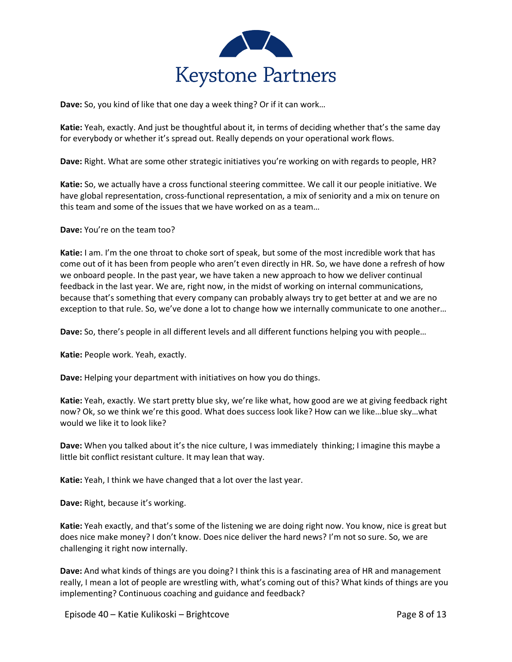

**Dave:** So, you kind of like that one day a week thing? Or if it can work…

**Katie:** Yeah, exactly. And just be thoughtful about it, in terms of deciding whether that's the same day for everybody or whether it's spread out. Really depends on your operational work flows.

**Dave:** Right. What are some other strategic initiatives you're working on with regards to people, HR?

**Katie:** So, we actually have a cross functional steering committee. We call it our people initiative. We have global representation, cross-functional representation, a mix of seniority and a mix on tenure on this team and some of the issues that we have worked on as a team…

**Dave:** You're on the team too?

**Katie:** I am. I'm the one throat to choke sort of speak, but some of the most incredible work that has come out of it has been from people who aren't even directly in HR. So, we have done a refresh of how we onboard people. In the past year, we have taken a new approach to how we deliver continual feedback in the last year. We are, right now, in the midst of working on internal communications, because that's something that every company can probably always try to get better at and we are no exception to that rule. So, we've done a lot to change how we internally communicate to one another…

**Dave:** So, there's people in all different levels and all different functions helping you with people…

**Katie:** People work. Yeah, exactly.

**Dave:** Helping your department with initiatives on how you do things.

**Katie:** Yeah, exactly. We start pretty blue sky, we're like what, how good are we at giving feedback right now? Ok, so we think we're this good. What does success look like? How can we like…blue sky…what would we like it to look like?

**Dave:** When you talked about it's the nice culture, I was immediately thinking; I imagine this maybe a little bit conflict resistant culture. It may lean that way.

**Katie:** Yeah, I think we have changed that a lot over the last year.

**Dave:** Right, because it's working.

**Katie:** Yeah exactly, and that's some of the listening we are doing right now. You know, nice is great but does nice make money? I don't know. Does nice deliver the hard news? I'm not so sure. So, we are challenging it right now internally.

**Dave:** And what kinds of things are you doing? I think this is a fascinating area of HR and management really, I mean a lot of people are wrestling with, what's coming out of this? What kinds of things are you implementing? Continuous coaching and guidance and feedback?

Episode 40 – Katie Kulikoski – Brightcove Page 8 of 13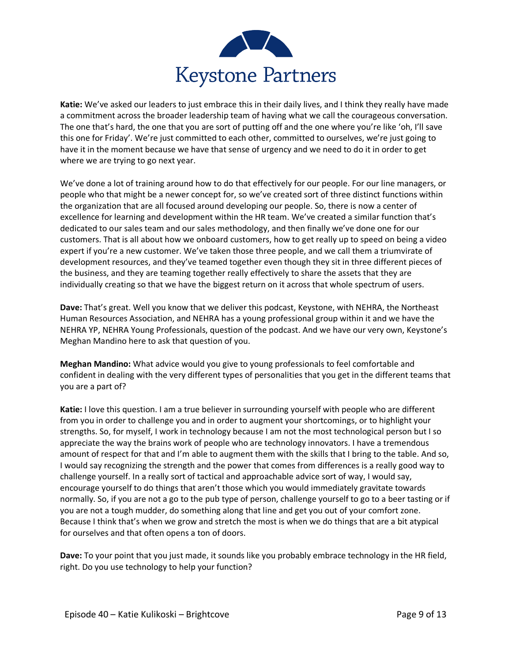

**Katie:** We've asked our leaders to just embrace this in their daily lives, and I think they really have made a commitment across the broader leadership team of having what we call the courageous conversation. The one that's hard, the one that you are sort of putting off and the one where you're like 'oh, I'll save this one for Friday'. We're just committed to each other, committed to ourselves, we're just going to have it in the moment because we have that sense of urgency and we need to do it in order to get where we are trying to go next year.

We've done a lot of training around how to do that effectively for our people. For our line managers, or people who that might be a newer concept for, so we've created sort of three distinct functions within the organization that are all focused around developing our people. So, there is now a center of excellence for learning and development within the HR team. We've created a similar function that's dedicated to our sales team and our sales methodology, and then finally we've done one for our customers. That is all about how we onboard customers, how to get really up to speed on being a video expert if you're a new customer. We've taken those three people, and we call them a triumvirate of development resources, and they've teamed together even though they sit in three different pieces of the business, and they are teaming together really effectively to share the assets that they are individually creating so that we have the biggest return on it across that whole spectrum of users.

**Dave:** That's great. Well you know that we deliver this podcast, Keystone, with NEHRA, the Northeast Human Resources Association, and NEHRA has a young professional group within it and we have the NEHRA YP, NEHRA Young Professionals, question of the podcast. And we have our very own, Keystone's Meghan Mandino here to ask that question of you.

**Meghan Mandino:** What advice would you give to young professionals to feel comfortable and confident in dealing with the very different types of personalities that you get in the different teams that you are a part of?

**Katie:** I love this question. I am a true believer in surrounding yourself with people who are different from you in order to challenge you and in order to augment your shortcomings, or to highlight your strengths. So, for myself, I work in technology because I am not the most technological person but I so appreciate the way the brains work of people who are technology innovators. I have a tremendous amount of respect for that and I'm able to augment them with the skills that I bring to the table. And so, I would say recognizing the strength and the power that comes from differences is a really good way to challenge yourself. In a really sort of tactical and approachable advice sort of way, I would say, encourage yourself to do things that aren't those which you would immediately gravitate towards normally. So, if you are not a go to the pub type of person, challenge yourself to go to a beer tasting or if you are not a tough mudder, do something along that line and get you out of your comfort zone. Because I think that's when we grow and stretch the most is when we do things that are a bit atypical for ourselves and that often opens a ton of doors.

**Dave:** To your point that you just made, it sounds like you probably embrace technology in the HR field, right. Do you use technology to help your function?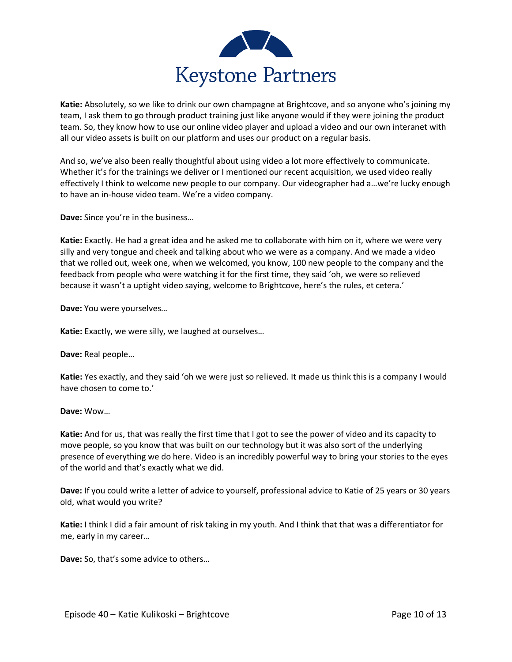

**Katie:** Absolutely, so we like to drink our own champagne at Brightcove, and so anyone who's joining my team, I ask them to go through product training just like anyone would if they were joining the product team. So, they know how to use our online video player and upload a video and our own interanet with all our video assets is built on our platform and uses our product on a regular basis.

And so, we've also been really thoughtful about using video a lot more effectively to communicate. Whether it's for the trainings we deliver or I mentioned our recent acquisition, we used video really effectively I think to welcome new people to our company. Our videographer had a…we're lucky enough to have an in-house video team. We're a video company.

**Dave:** Since you're in the business…

**Katie:** Exactly. He had a great idea and he asked me to collaborate with him on it, where we were very silly and very tongue and cheek and talking about who we were as a company. And we made a video that we rolled out, week one, when we welcomed, you know, 100 new people to the company and the feedback from people who were watching it for the first time, they said 'oh, we were so relieved because it wasn't a uptight video saying, welcome to Brightcove, here's the rules, et cetera.'

**Dave:** You were yourselves…

**Katie:** Exactly, we were silly, we laughed at ourselves…

**Dave:** Real people…

**Katie:** Yes exactly, and they said 'oh we were just so relieved. It made us think this is a company I would have chosen to come to.'

## **Dave:** Wow…

**Katie:** And for us, that was really the first time that I got to see the power of video and its capacity to move people, so you know that was built on our technology but it was also sort of the underlying presence of everything we do here. Video is an incredibly powerful way to bring your stories to the eyes of the world and that's exactly what we did.

**Dave:** If you could write a letter of advice to yourself, professional advice to Katie of 25 years or 30 years old, what would you write?

**Katie:** I think I did a fair amount of risk taking in my youth. And I think that that was a differentiator for me, early in my career…

**Dave:** So, that's some advice to others…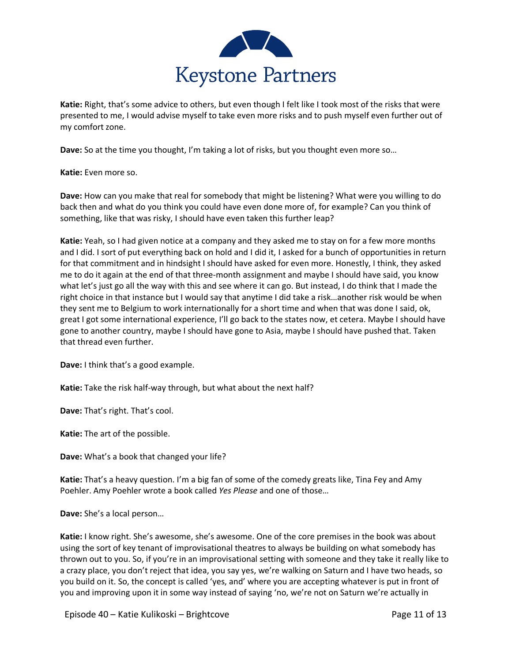

**Katie:** Right, that's some advice to others, but even though I felt like I took most of the risks that were presented to me, I would advise myself to take even more risks and to push myself even further out of my comfort zone.

**Dave:** So at the time you thought, I'm taking a lot of risks, but you thought even more so…

**Katie:** Even more so.

**Dave:** How can you make that real for somebody that might be listening? What were you willing to do back then and what do you think you could have even done more of, for example? Can you think of something, like that was risky, I should have even taken this further leap?

**Katie:** Yeah, so I had given notice at a company and they asked me to stay on for a few more months and I did. I sort of put everything back on hold and I did it, I asked for a bunch of opportunities in return for that commitment and in hindsight I should have asked for even more. Honestly, I think, they asked me to do it again at the end of that three-month assignment and maybe I should have said, you know what let's just go all the way with this and see where it can go. But instead, I do think that I made the right choice in that instance but I would say that anytime I did take a risk…another risk would be when they sent me to Belgium to work internationally for a short time and when that was done I said, ok, great I got some international experience, I'll go back to the states now, et cetera. Maybe I should have gone to another country, maybe I should have gone to Asia, maybe I should have pushed that. Taken that thread even further.

**Dave:** I think that's a good example.

**Katie:** Take the risk half-way through, but what about the next half?

**Dave:** That's right. That's cool.

**Katie:** The art of the possible.

**Dave:** What's a book that changed your life?

**Katie:** That's a heavy question. I'm a big fan of some of the comedy greats like, Tina Fey and Amy Poehler. Amy Poehler wrote a book called *Yes Please* and one of those…

**Dave:** She's a local person…

**Katie:** I know right. She's awesome, she's awesome. One of the core premises in the book was about using the sort of key tenant of improvisational theatres to always be building on what somebody has thrown out to you. So, if you're in an improvisational setting with someone and they take it really like to a crazy place, you don't reject that idea, you say yes, we're walking on Saturn and I have two heads, so you build on it. So, the concept is called 'yes, and' where you are accepting whatever is put in front of you and improving upon it in some way instead of saying 'no, we're not on Saturn we're actually in

Episode 40 – Katie Kulikoski – Brightcove Page 11 of 13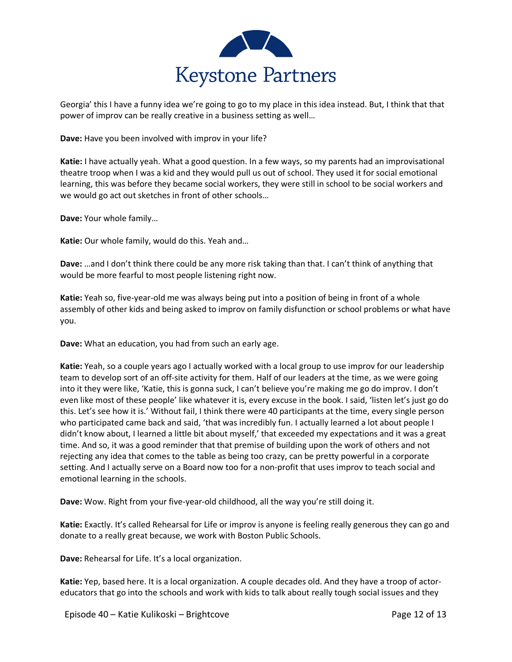

Georgia' this I have a funny idea we're going to go to my place in this idea instead. But, I think that that power of improv can be really creative in a business setting as well…

**Dave:** Have you been involved with improv in your life?

**Katie:** I have actually yeah. What a good question. In a few ways, so my parents had an improvisational theatre troop when I was a kid and they would pull us out of school. They used it for social emotional learning, this was before they became social workers, they were still in school to be social workers and we would go act out sketches in front of other schools…

**Dave:** Your whole family…

**Katie:** Our whole family, would do this. Yeah and…

**Dave:** …and I don't think there could be any more risk taking than that. I can't think of anything that would be more fearful to most people listening right now.

**Katie:** Yeah so, five-year-old me was always being put into a position of being in front of a whole assembly of other kids and being asked to improv on family disfunction or school problems or what have you.

**Dave:** What an education, you had from such an early age.

**Katie:** Yeah, so a couple years ago I actually worked with a local group to use improv for our leadership team to develop sort of an off-site activity for them. Half of our leaders at the time, as we were going into it they were like, 'Katie, this is gonna suck, I can't believe you're making me go do improv. I don't even like most of these people' like whatever it is, every excuse in the book. I said, 'listen let's just go do this. Let's see how it is.' Without fail, I think there were 40 participants at the time, every single person who participated came back and said, 'that was incredibly fun. I actually learned a lot about people I didn't know about, I learned a little bit about myself,' that exceeded my expectations and it was a great time. And so, it was a good reminder that that premise of building upon the work of others and not rejecting any idea that comes to the table as being too crazy, can be pretty powerful in a corporate setting. And I actually serve on a Board now too for a non-profit that uses improv to teach social and emotional learning in the schools.

**Dave:** Wow. Right from your five-year-old childhood, all the way you're still doing it.

**Katie:** Exactly. It's called Rehearsal for Life or improv is anyone is feeling really generous they can go and donate to a really great because, we work with Boston Public Schools.

**Dave:** Rehearsal for Life. It's a local organization.

**Katie:** Yep, based here. It is a local organization. A couple decades old. And they have a troop of actoreducators that go into the schools and work with kids to talk about really tough social issues and they

Episode 40 – Katie Kulikoski – Brightcove Page 12 of 13